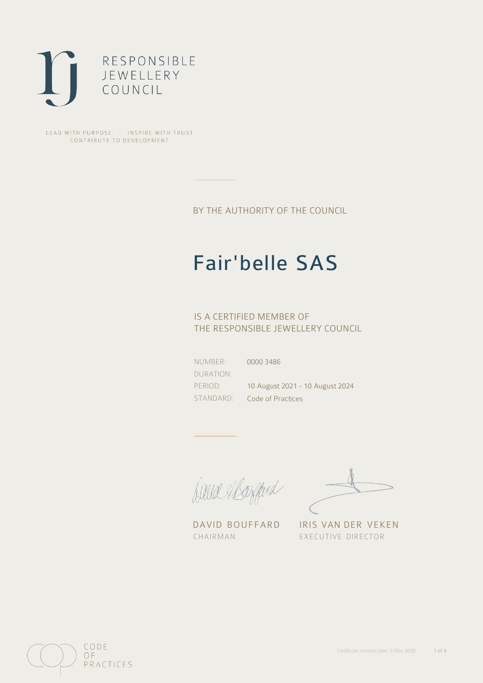

LEAD WITH PURPOSE . INSPIRE WITH TRUST CONTRIBUTE TO DEVELOPMENT

BY THE AUTHORITY OF THE COUNCIL

# Fair'belle SAS

0000 3486

## IS A CERTIFIED MEMBER OF THE RESPONSIBLE JEWELLERY COUNCIL

NUMBER: DURATION: PERIOD: STANDARD:

10 August 2021 - 10 August 2024 Code of Practices

Caux Margaret

DAVID BOUFFARD IRIS VAN DER VEKEN CHAIRMAN EXECUTIVE DIRECTOR

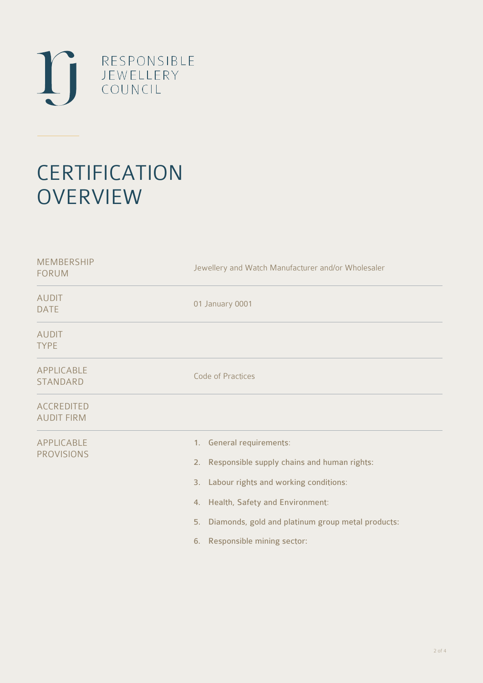

# **CERTIFICATION OVERVIEW**

| <b>MEMBERSHIP</b><br><b>FORUM</b>      | Jewellery and Watch Manufacturer and/or Wholesaler                                                                                                                                                                                                    |  |  |
|----------------------------------------|-------------------------------------------------------------------------------------------------------------------------------------------------------------------------------------------------------------------------------------------------------|--|--|
| <b>AUDIT</b><br><b>DATE</b>            | 01 January 0001                                                                                                                                                                                                                                       |  |  |
| <b>AUDIT</b><br><b>TYPE</b>            |                                                                                                                                                                                                                                                       |  |  |
| <b>APPLICABLE</b><br>STANDARD          | Code of Practices                                                                                                                                                                                                                                     |  |  |
| <b>ACCREDITED</b><br><b>AUDIT FIRM</b> |                                                                                                                                                                                                                                                       |  |  |
| APPLICABLE<br><b>PROVISIONS</b>        | 1. General requirements:<br>2. Responsible supply chains and human rights:<br>3. Labour rights and working conditions:<br>4. Health, Safety and Environment:<br>5. Diamonds, gold and platinum group metal products:<br>6. Responsible mining sector: |  |  |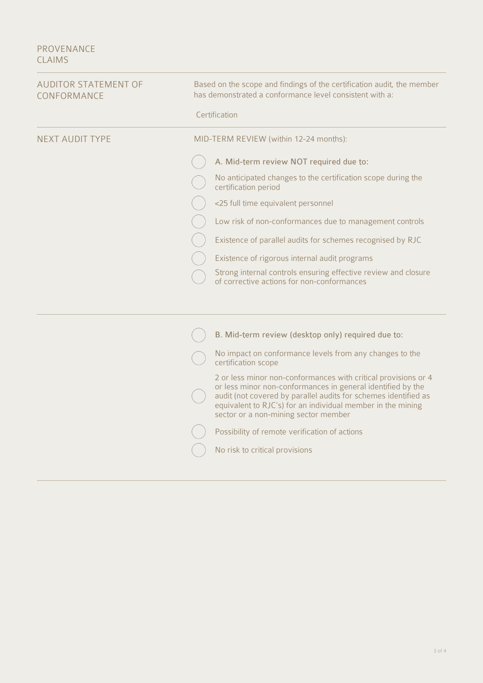### PROVENANCE CLAIMS

| <b>AUDITOR STATEMENT OF</b><br>CONFORMANCE | Based on the scope and findings of the certification audit, the member<br>has demonstrated a conformance level consistent with a:                                                                                                                                                                       |  |  |
|--------------------------------------------|---------------------------------------------------------------------------------------------------------------------------------------------------------------------------------------------------------------------------------------------------------------------------------------------------------|--|--|
|                                            | Certification                                                                                                                                                                                                                                                                                           |  |  |
| <b>NEXT AUDIT TYPE</b>                     | MID-TERM REVIEW (within 12-24 months):                                                                                                                                                                                                                                                                  |  |  |
|                                            | A. Mid-term review NOT required due to:                                                                                                                                                                                                                                                                 |  |  |
|                                            | No anticipated changes to the certification scope during the<br>certification period                                                                                                                                                                                                                    |  |  |
|                                            | <25 full time equivalent personnel                                                                                                                                                                                                                                                                      |  |  |
|                                            | Low risk of non-conformances due to management controls                                                                                                                                                                                                                                                 |  |  |
|                                            | Existence of parallel audits for schemes recognised by RJC                                                                                                                                                                                                                                              |  |  |
|                                            | Existence of rigorous internal audit programs                                                                                                                                                                                                                                                           |  |  |
|                                            | Strong internal controls ensuring effective review and closure<br>of corrective actions for non-conformances                                                                                                                                                                                            |  |  |
|                                            |                                                                                                                                                                                                                                                                                                         |  |  |
|                                            | B. Mid-term review (desktop only) required due to:                                                                                                                                                                                                                                                      |  |  |
|                                            | No impact on conformance levels from any changes to the<br>certification scope                                                                                                                                                                                                                          |  |  |
|                                            | 2 or less minor non-conformances with critical provisions or 4<br>or less minor non-conformances in general identified by the<br>audit (not covered by parallel audits for schemes identified as<br>equivalent to RJC's) for an individual member in the mining<br>sector or a non-mining sector member |  |  |
|                                            | Possibility of remote verification of actions                                                                                                                                                                                                                                                           |  |  |
|                                            | No risk to critical provisions                                                                                                                                                                                                                                                                          |  |  |
|                                            |                                                                                                                                                                                                                                                                                                         |  |  |